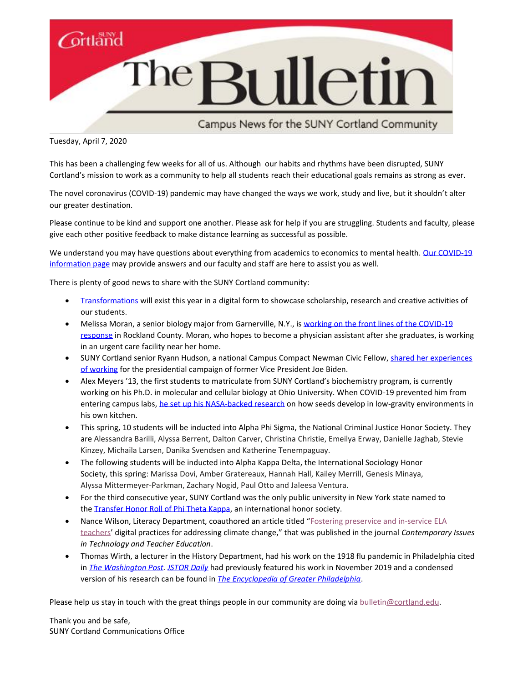

Campus News for the SUNY Cortland Community

Tuesday, April 7, 2020

This has been a challenging few weeks for all of us. Although our habits and rhythms have been disrupted, SUNY Cortland's mission to work as a community to help all students reach their educational goals remains as strong as ever.

The novel coronavirus (COVID-19) pandemic may have changed the ways we work, study and live, but it shouldn't alter our greater destination.

Please continue to be kind and support one another. Please ask for help if you are struggling. Students and faculty, please give each other positive feedback to make distance learning as successful as possible.

We understand you may have questions about everything from academics to economics to mental health. Our COVID-19 [information page](http://www2.cortland.edu/offices/student-health-service/coronavirus/) may provide answers and our faculty and staff are here to assist you as well.

There is plenty of good news to share with the SUNY Cortland community:

- [Transformations](http://www2.cortland.edu/news/detail.dot?id=1f290c43-2673-41d4-95b0-e51749fd3b64) will exist this year in a digital form to showcase scholarship, research and creative activities of our students.
- Melissa Moran, a senior biology major from Garnerville, N.Y., is working on the front lines of the COVID-19 [response](https://www2.cortland.edu/news/detail.dot?id=09ae6b3f-2223-4de4-a48f-8b09817889f2) in Rockland County. Moran, who hopes to become a physician assistant after she graduates, is working in an urgent care facility near her home.
- SUNY Cortland senior Ryann Hudson, a national Campus Compact Newman Civic Fellow, shared her experiences [of working](http://www2.cortland.edu/news/detail.dot?id=2e0f44f8-020a-490e-b269-f2871597761d) for the presidential campaign of former Vice President Joe Biden.
- Alex Meyers '13, the first students to matriculate from SUNY Cortland's biochemistry program, is currently working on his Ph.D. in molecular and cellular biology at Ohio University. When COVID-19 prevented him from entering campus labs, [he set up his NASA-backed research](https://www2.cortland.edu/news/detail.dot?id=993f4c69-7401-4f3d-9cd3-05bb8384b835) on how seeds develop in low-gravity environments in his own kitchen.
- This spring, 10 students will be inducted into Alpha Phi Sigma, the National Criminal Justice Honor Society. They are Alessandra Barilli, Alyssa Berrent, Dalton Carver, Christina Christie, Emeilya Erway, Danielle Jaghab, Stevie Kinzey, Michaila Larsen, Danika Svendsen and Katherine Tenempaguay.
- The following students will be inducted into Alpha Kappa Delta, the International Sociology Honor Society, this spring: Marissa Dovi, Amber Gratereaux, Hannah Hall, Kailey Merrill, Genesis Minaya, Alyssa Mittermeyer-Parkman, Zachary Nogid, Paul Otto and Jaleesa Ventura.
- For the third consecutive year, SUNY Cortland was the only public university in New York state named to th[e Transfer Honor Roll of Phi Theta Kappa,](http://www2.cortland.edu/news/detail.dot?id=ca1f317c-f371-44e4-98c8-3b0ba0a066d3) an international honor society.
- Nance Wilson, Literacy Department, coauthored an article titled "Fostering [preservice](https://citejournal.org/volume-20/issue-1-20/english-language-arts/fostering-preservice-and-in-service-ela-teachers-digital-practices-for-addressing-climate-change/) and in-service ELA [teachers](https://citejournal.org/volume-20/issue-1-20/english-language-arts/fostering-preservice-and-in-service-ela-teachers-digital-practices-for-addressing-climate-change/)' digital practices for addressing climate change," that was published in the journal *Contemporary Issues in Technology and Teacher Education*.
- Thomas Wirth, a lecturer in the History Department, had his work on the 1918 flu pandemic in Philadelphia cited in *[The Washington Post.](https://www.washingtonpost.com/nation/2020/03/12/pandemic-parade-flu-coronavirus/) [JSTOR Daily](https://daily.jstor.org/the-1918-parade-that-spread-death-in-philadelphia/)* had previously featured his work in November 2019 and a condensed version of his research can be found in *[The Encyclopedia of Greater Philadelphia](https://philadelphiaencyclopedia.org/archive/influenza-spanish-flu-pandemic-1918-19/)*.

Please help us stay in touch with the great things people in our community are doing via [bulletin@cortland.edu.](mailto:bulletin@cortland.edu?subject=COVID-19%20news)

Thank you and be safe, SUNY Cortland Communications Office